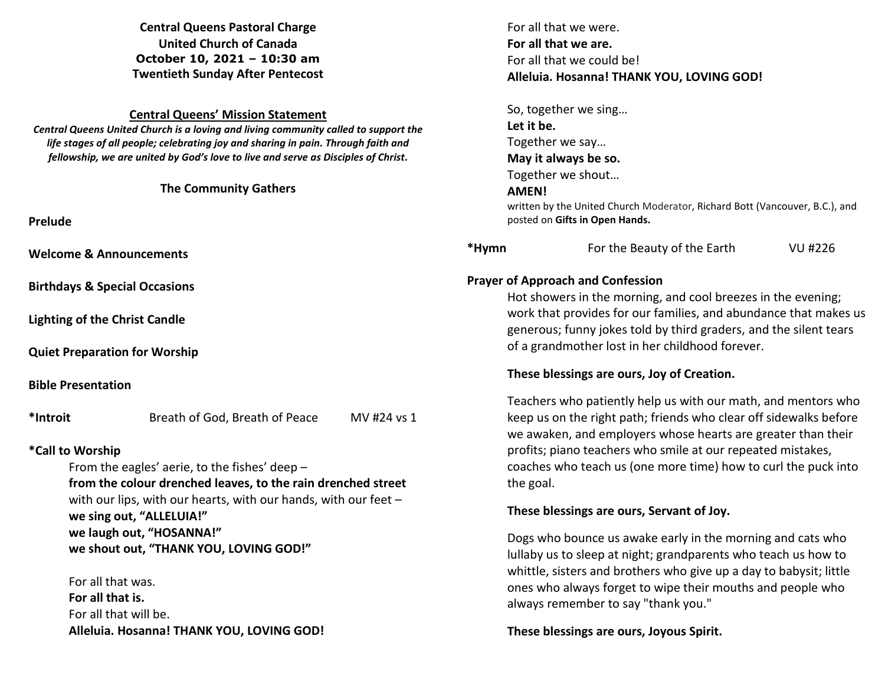**Central Queens Pastoral Charge United Church of Canada October 10, 2021 – 10:30 am Twentieth Sunday After Pentecost** 

#### **Central Queens' Mission Statement**

*Central Queens United Church is a loving and living community called to support the life stages of all people; celebrating joy and sharing in pain. Through faith and fellowship, we are united by God's love to live and serve as Disciples of Christ***.** 

#### **The Community Gathers**

**Prelude** 

**Welcome & Announcements** 

**Birthdays & Special Occasions** 

**Lighting of the Christ Candle** 

**Quiet Preparation for Worship**

**Bible Presentation** 

**\*Introit** Breath of God, Breath of Peace MV #24 vs 1

## **\*Call to Worship**

From the eagles' aerie, to the fishes' deep –  **from the colour drenched leaves, to the rain drenched street** with our lips, with our hearts, with our hands, with our feet –  **we sing out, "ALLELUIA!" we laugh out, "HOSANNA!" we shout out, "THANK YOU, LOVING GOD!"** 

 For all that was.  **For all that is.**  For all that will be.  **Alleluia. Hosanna! THANK YOU, LOVING GOD!**  For all that we were.  **For all that we are.**  For all that we could be!  **Alleluia. Hosanna! THANK YOU, LOVING GOD!** 

 So, together we sing…  **Let it be.**  Together we say…  **May it always be so.**  Together we shout…  **AMEN!** written by the United Church Moderator, Richard Bott (Vancouver, B.C.), and

# **\*Hymn** For the Beauty of the Earth VU #226

## **Prayer of Approach and Confession**

posted on **Gifts in Open Hands.** 

Hot showers in the morning, and cool breezes in the evening; work that provides for our families, and abundance that makes us generous; funny jokes told by third graders, and the silent tears of a grandmother lost in her childhood forever.

## **These blessings are ours, Joy of Creation.**

Teachers who patiently help us with our math, and mentors who keep us on the right path; friends who clear off sidewalks before we awaken, and employers whose hearts are greater than their profits; piano teachers who smile at our repeated mistakes, coaches who teach us (one more time) how to curl the puck into the goal.

## **These blessings are ours, Servant of Joy.**

Dogs who bounce us awake early in the morning and cats who lullaby us to sleep at night; grandparents who teach us how to whittle, sisters and brothers who give up a day to babysit; little ones who always forget to wipe their mouths and people who always remember to say "thank you."

## **These blessings are ours, Joyous Spirit.**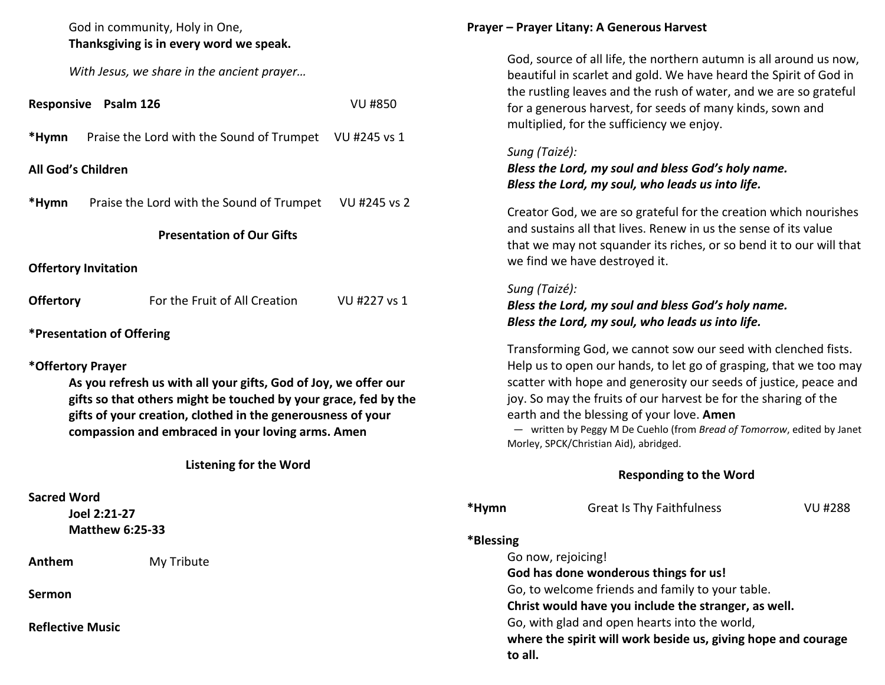| God in community, Holy in One,<br>Thanksgiving is in every word we speak.                                                                                                                                                                                                   |  |  |  |  |
|-----------------------------------------------------------------------------------------------------------------------------------------------------------------------------------------------------------------------------------------------------------------------------|--|--|--|--|
| With Jesus, we share in the ancient prayer                                                                                                                                                                                                                                  |  |  |  |  |
| <b>Responsive Psalm 126</b><br>VU #850                                                                                                                                                                                                                                      |  |  |  |  |
| *Hymn<br>Praise the Lord with the Sound of Trumpet VU #245 vs 1                                                                                                                                                                                                             |  |  |  |  |
| <b>All God's Children</b>                                                                                                                                                                                                                                                   |  |  |  |  |
| *Hymn<br>Praise the Lord with the Sound of Trumpet VU #245 vs 2                                                                                                                                                                                                             |  |  |  |  |
| <b>Presentation of Our Gifts</b>                                                                                                                                                                                                                                            |  |  |  |  |
| <b>Offertory Invitation</b>                                                                                                                                                                                                                                                 |  |  |  |  |
| For the Fruit of All Creation<br><b>Offertory</b><br>VU #227 vs 1                                                                                                                                                                                                           |  |  |  |  |
| <b>*Presentation of Offering</b>                                                                                                                                                                                                                                            |  |  |  |  |
| *Offertory Prayer<br>As you refresh us with all your gifts, God of Joy, we offer our<br>gifts so that others might be touched by your grace, fed by the<br>gifts of your creation, clothed in the generousness of your<br>compassion and embraced in your loving arms. Amen |  |  |  |  |
| <b>Listening for the Word</b>                                                                                                                                                                                                                                               |  |  |  |  |
| <b>Sacred Word</b><br>Joel 2:21-27<br><b>Matthew 6:25-33</b>                                                                                                                                                                                                                |  |  |  |  |
| Anthem<br>My Tribute                                                                                                                                                                                                                                                        |  |  |  |  |
| Sermon                                                                                                                                                                                                                                                                      |  |  |  |  |

**Reflective Music** 

## **Prayer – Prayer Litany: A Generous Harvest**

God, source of all life, the northern autumn is all around us now, beautiful in scarlet and gold. We have heard the Spirit of God in the rustling leaves and the rush of water, and we are so grateful for a generous harvest, for seeds of many kinds, sown and multiplied, for the sufficiency we enjoy.

# *Sung (Taizé):*

*Bless the Lord, my soul and bless God's holy name. Bless the Lord, my soul, who leads us into life.*

 Creator God, we are so grateful for the creation which nourishes and sustains all that lives. Renew in us the sense of its value that we may not squander its riches, or so bend it to our will that we find we have destroyed it.

# *Sung (Taizé):*

# *Bless the Lord, my soul and bless God's holy name. Bless the Lord, my soul, who leads us into life.*

 Transforming God, we cannot sow our seed with clenched fists. Help us to open our hands, to let go of grasping, that we too may scatter with hope and generosity our seeds of justice, peace and joy. So may the fruits of our harvest be for the sharing of the earth and the blessing of your love. **Amen**

 — written by Peggy M De Cuehlo (from *Bread of Tomorrow*, edited by Janet Morley, SPCK/Christian Aid), abridged.

# **Responding to the Word**

| *Hymn      | <b>Great Is Thy Faithfulness</b>                              | VU #288 |
|------------|---------------------------------------------------------------|---------|
| *Blessing* |                                                               |         |
|            | Go now, rejoicing!                                            |         |
|            | God has done wonderous things for us!                         |         |
|            | Go, to welcome friends and family to your table.              |         |
|            | Christ would have you include the stranger, as well.          |         |
|            | Go, with glad and open hearts into the world,                 |         |
| to all.    | where the spirit will work beside us, giving hope and courage |         |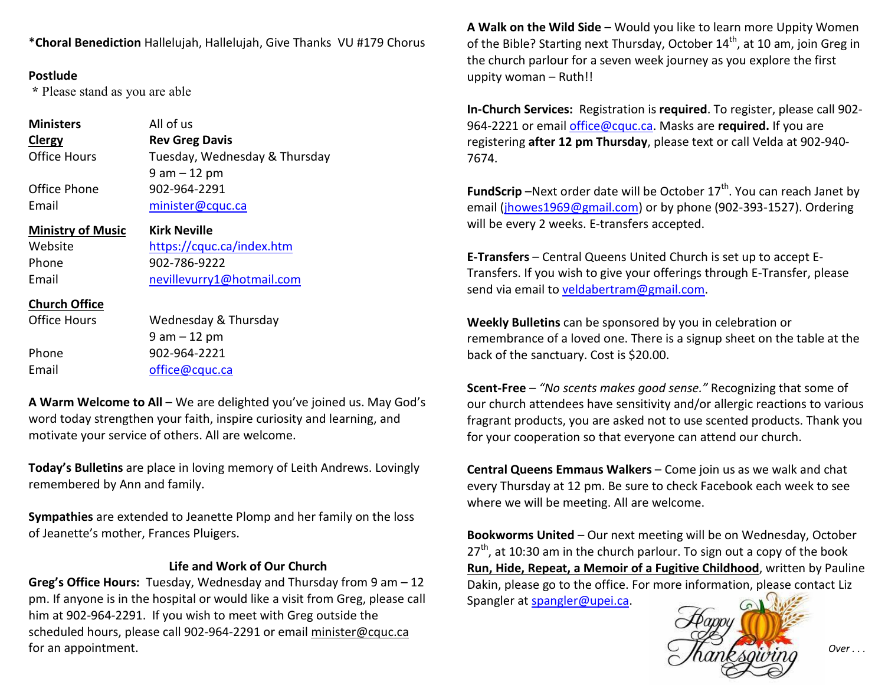\***Choral Benediction** Hallelujah, Hallelujah, Give Thanks VU #179 Chorus

# **Postlude**

 **\*** Please stand as you are able

| <b>Ministers</b><br><b>Clergy</b> | All of us<br><b>Rev Greg Davis</b> |
|-----------------------------------|------------------------------------|
| <b>Office Hours</b>               | Tuesday, Wednesday & Thursday      |
|                                   | $9$ am $-12$ pm                    |
| Office Phone                      | 902-964-2291                       |
| Email                             | minister@cquc.ca                   |
| <b>Ministry of Music</b>          | <b>Kirk Neville</b>                |
| Website                           | https://cquc.ca/index.htm          |
| Phone                             | 902-786-9222                       |
| Email                             | nevillevurry1@hotmail.com          |
| <b>Church Office</b>              |                                    |
| Office Hours                      | Wednesday & Thursday               |
|                                   | $9$ am $-12$ pm                    |
| Phone                             | 902-964-2221                       |
| Email                             | office@cquc.ca                     |

**A Warm Welcome to All** – We are delighted you've joined us. May God's word today strengthen your faith, inspire curiosity and learning, and motivate your service of others. All are welcome.

**Today's Bulletins** are place in loving memory of Leith Andrews. Lovingly remembered by Ann and family.

**Sympathies** are extended to Jeanette Plomp and her family on the loss of Jeanette's mother, Frances Pluigers.

# **Life and Work of Our Church**

**Greg's Office Hours:** Tuesday, Wednesday and Thursday from 9 am – 12 pm. If anyone is in the hospital or would like a visit from Greg, please call him at 902-964-2291. If you wish to meet with Greg outside the scheduled hours, please call 902-964-2291 or email minister@cquc.ca for an appointment.

**A Walk on the Wild Side** – Would you like to learn more Uppity Women of the Bible? Starting next Thursday, October 14<sup>th</sup>, at 10 am, join Greg in the church parlour for a seven week journey as you explore the first uppity woman – Ruth!!

**In-Church Services:** Registration is **required**. To register, please call 902-964-2221 or email office@cquc.ca. Masks are **required.** If you are registering **after 12 pm Thursday**, please text or call Velda at 902-940- 7674.

**FundScrip** –Next order date will be October 17<sup>th</sup>. You can reach Janet by email (*jhowes1969@gmail.com*) or by phone (902-393-1527). Ordering will be every 2 weeks. E-transfers accepted.

**E-Transfers** – Central Queens United Church is set up to accept E-Transfers. If you wish to give your offerings through E-Transfer, please send via email to veldabertram@gmail.com.

**Weekly Bulletins** can be sponsored by you in celebration or remembrance of a loved one. There is a signup sheet on the table at the back of the sanctuary. Cost is \$20.00.

**Scent-Free** – *"No scents makes good sense."* Recognizing that some of our church attendees have sensitivity and/or allergic reactions to various fragrant products, you are asked not to use scented products. Thank you for your cooperation so that everyone can attend our church.

**Central Queens Emmaus Walkers** – Come join us as we walk and chat every Thursday at 12 pm. Be sure to check Facebook each week to see where we will be meeting. All are welcome.

**Bookworms United** – Our next meeting will be on Wednesday, October  $27<sup>th</sup>$ , at 10:30 am in the church parlour. To sign out a copy of the book **Run, Hide, Repeat, a Memoir of a Fugitive Childhood**, written by Pauline Dakin, please go to the office. For more information, please contact Liz Spangler at spangler@upei.ca.



*Over . . .*